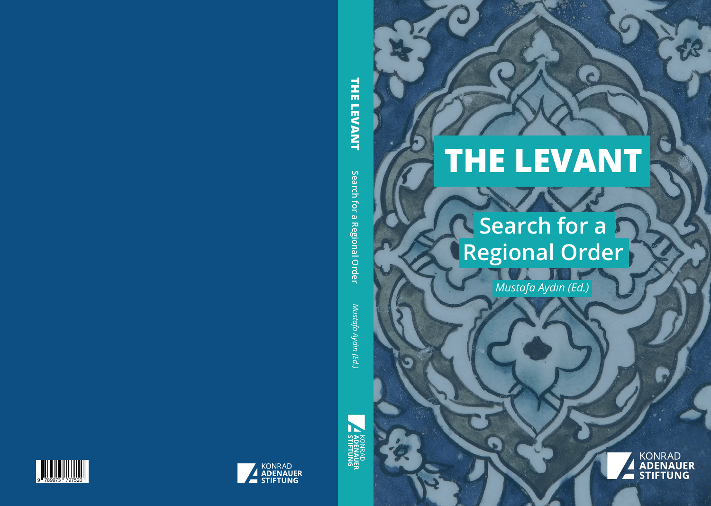# **THE LEVANT**

## **XXX Search for a Regional Order**

*Mustafa Aydın (Ed.)*

**KONRAD ADENAUER STIFTUNG**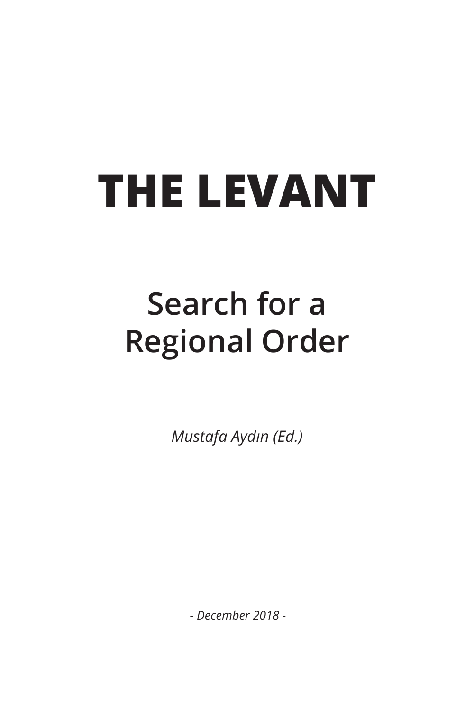# **THE LEVANT**

## **Search for a Regional Order**

*Mustafa Aydın (Ed.)*

*- December 2018 -*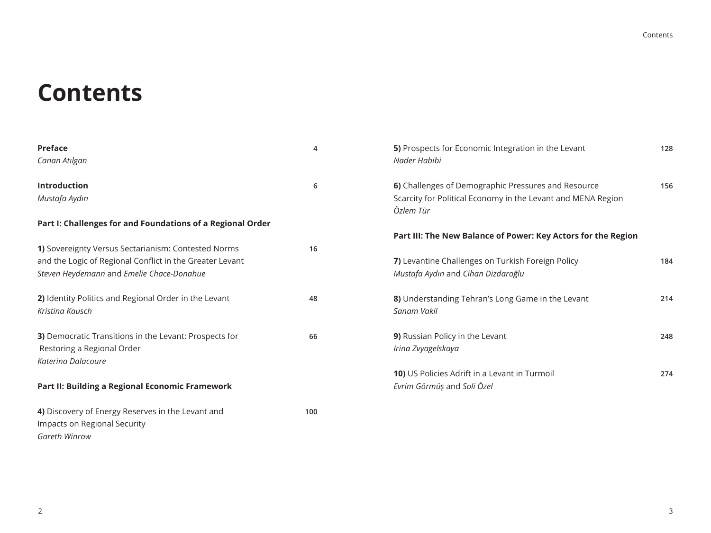### **Contents**

| <b>Preface</b><br>Canan Atılgan                                                                                                                              | 4   | 5) Prospects for Economic Integration in the Levant<br>Nader Habibi                                                 | 128 |
|--------------------------------------------------------------------------------------------------------------------------------------------------------------|-----|---------------------------------------------------------------------------------------------------------------------|-----|
| Introduction<br>Mustafa Aydın                                                                                                                                | 6   | 6) Challenges of Demographic Pressures and Resource<br>Scarcity for Political Economy in the Levant and MENA Region | 156 |
|                                                                                                                                                              |     | Özlem Tür                                                                                                           |     |
| Part I: Challenges for and Foundations of a Regional Order                                                                                                   |     | Part III: The New Balance of Power: Key Actors for the Region                                                       |     |
| 1) Sovereignty Versus Sectarianism: Contested Norms<br>and the Logic of Regional Conflict in the Greater Levant<br>Steven Heydemann and Emelie Chace-Donahue | 16  | 7) Levantine Challenges on Turkish Foreign Policy<br>Mustafa Aydın and Cihan Dizdaroğlu                             | 184 |
| 2) Identity Politics and Regional Order in the Levant<br>Kristing Kausch                                                                                     | 48  | 8) Understanding Tehran's Long Game in the Levant<br>Sanam Vakil                                                    | 214 |
| 3) Democratic Transitions in the Levant: Prospects for<br>Restoring a Regional Order<br>Katerina Dalacoure                                                   | 66  | 9) Russian Policy in the Levant<br>Irina Zvyagelskaya                                                               | 248 |
| Part II: Building a Regional Economic Framework                                                                                                              |     | <b>10)</b> US Policies Adrift in a Levant in Turmoil<br>Evrim Görmüş and Soli Özel                                  | 274 |
| 4) Discovery of Energy Reserves in the Levant and<br>Impacts on Regional Security<br>Gareth Winrow                                                           | 100 |                                                                                                                     |     |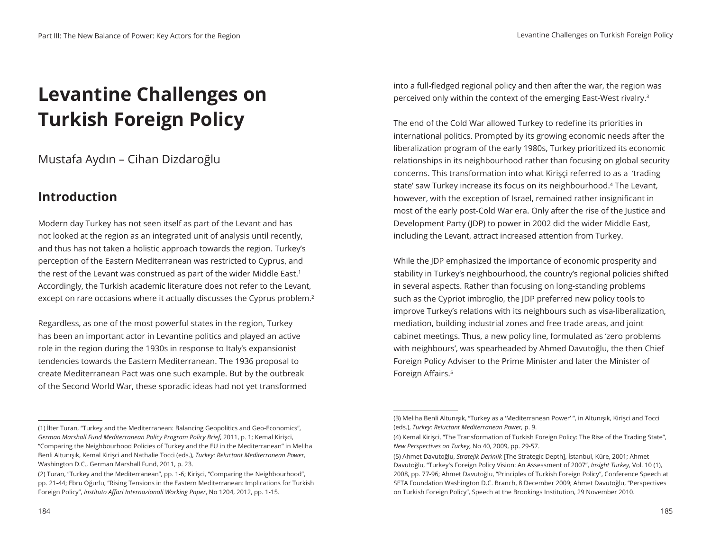### **Levantine Challenges on Turkish Foreign Policy**

Mustafa Aydın – Cihan Dizdaroğlu

#### **Introduction**

Modern day Turkey has not seen itself as part of the Levant and has not looked at the region as an integrated unit of analysis until recently, and thus has not taken a holistic approach towards the region. Turkey's perception of the Eastern Mediterranean was restricted to Cyprus, and the rest of the Levant was construed as part of the wider Middle East.<sup>1</sup> Accordingly, the Turkish academic literature does not refer to the Levant, except on rare occasions where it actually discusses the Cyprus problem.<sup>2</sup>

Regardless, as one of the most powerful states in the region, Turkey has been an important actor in Levantine politics and played an active role in the region during the 1930s in response to Italy's expansionist tendencies towards the Eastern Mediterranean. The 1936 proposal to create Mediterranean Pact was one such example. But by the outbreak of the Second World War, these sporadic ideas had not yet transformed

(1) İlter Turan, "Turkey and the Mediterranean: Balancing Geopolitics and Geo-Economics", *German Marshall Fund Mediterranean Policy Program Policy Brief*, 2011, p. 1; Kemal Kirişci, "Comparing the Neighbourhood Policies of Turkey and the EU in the Mediterranean" in Meliha Benli Altunışık, Kemal Kirişci and Nathalie Tocci (eds.), *Turkey: Reluctant Mediterranean Power,*  Washington D.C., German Marshall Fund, 2011, p. 23.

into a full-fledged regional policy and then after the war, the region was perceived only within the context of the emerging East-West rivalry.3

The end of the Cold War allowed Turkey to redefine its priorities in international politics. Prompted by its growing economic needs after the liberalization program of the early 1980s, Turkey prioritized its economic relationships in its neighbourhood rather than focusing on global security concerns. This transformation into what Kirişçi referred to as a 'trading state' saw Turkey increase its focus on its neighbourhood.4 The Levant, however, with the exception of Israel, remained rather insignificant in most of the early post-Cold War era. Only after the rise of the Justice and Development Party (JDP) to power in 2002 did the wider Middle East, including the Levant, attract increased attention from Turkey.

While the JDP emphasized the importance of economic prosperity and stability in Turkey's neighbourhood, the country's regional policies shifted in several aspects. Rather than focusing on long-standing problems such as the Cypriot imbroglio, the JDP preferred new policy tools to improve Turkey's relations with its neighbours such as visa-liberalization, mediation, building industrial zones and free trade areas, and joint cabinet meetings. Thus, a new policy line, formulated as 'zero problems with neighbours', was spearheaded by Ahmed Davutoğlu, the then Chief Foreign Policy Adviser to the Prime Minister and later the Minister of Foreign Affairs.<sup>5</sup>

<sup>(2)</sup> Turan, "Turkey and the Mediterranean", pp. 1-6; Kirişci, "Comparing the Neighbourhood", pp. 21-44; Ebru Oğurlu, "Rising Tensions in the Eastern Mediterranean: Implications for Turkish Foreign Policy", *Instituto Affari Internazionali Working Paper*, No 1204, 2012, pp. 1-15.

<sup>(3)</sup> Meliha Benli Altunışık, "Turkey as a 'Mediterranean Power' ", in Altunışık, Kirişci and Tocci (eds.), *Turkey: Reluctant Mediterranean Power,* p. 9.

<sup>(4)</sup> Kemal Kirişci, "The Transformation of Turkish Foreign Policy: The Rise of the Trading State", *New Perspectives on Turkey,* No 40, 2009, pp. 29-57.

<sup>(5)</sup> Ahmet Davutoğlu, *Stratejik Derinlik* [The Strategic Depth], İstanbul, Küre, 2001; Ahmet Davutoğlu, "Turkey's Foreign Policy Vision: An Assessment of 2007", *Insight Turkey,* Vol. 10 (1), 2008, pp. 77-96; Ahmet Davutoğlu, "Principles of Turkish Foreign Policy", Conference Speech at SETA Foundation Washington D.C. Branch, 8 December 2009; Ahmet Davutoğlu, "Perspectives on Turkish Foreign Policy", Speech at the Brookings Institution, 29 November 2010.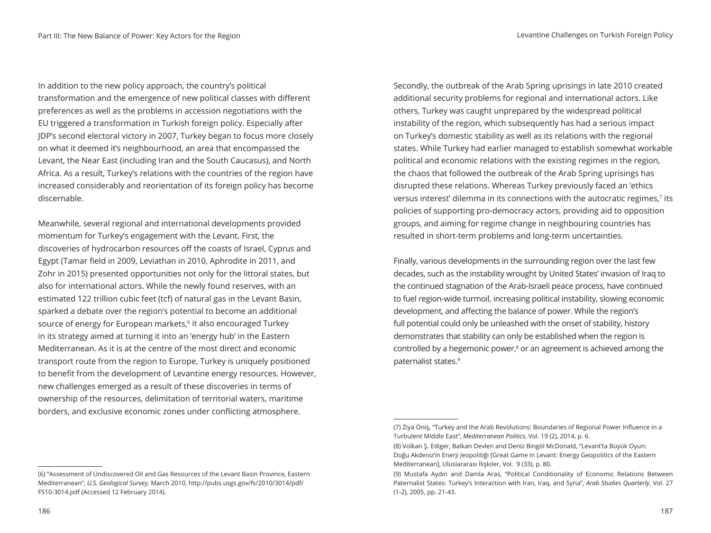In addition to the new policy approach, the country's political transformation and the emergence of new political classes with different preferences as well as the problems in accession negotiations with the EU triggered a transformation in Turkish foreign policy. Especially after JDP's second electoral victory in 2007, Turkey began to focus more closely on what it deemed it's neighbourhood, an area that encompassed the Levant, the Near East (including Iran and the South Caucasus), and North Africa. As a result, Turkey's relations with the countries of the region have increased considerably and reorientation of its foreign policy has become discernable.

Meanwhile, several regional and international developments provided momentum for Turkey's engagement with the Levant. First, the discoveries of hydrocarbon resources off the coasts of Israel, Cyprus and Egypt (Tamar field in 2009, Leviathan in 2010, Aphrodite in 2011, and Zohr in 2015) presented opportunities not only for the littoral states, but also for international actors. While the newly found reserves, with an estimated 122 trillion cubic feet (tcf) of natural gas in the Levant Basin, sparked a debate over the region's potential to become an additional source of energy for European markets,<sup>6</sup> it also encouraged Turkey in its strategy aimed at turning it into an 'energy hub' in the Eastern Mediterranean. As it is at the centre of the most direct and economic transport route from the region to Europe, Turkey is uniquely positioned to benefit from the development of Levantine energy resources. However, new challenges emerged as a result of these discoveries in terms of ownership of the resources, delimitation of territorial waters, maritime borders, and exclusive economic zones under conflicting atmosphere.

Secondly, the outbreak of the Arab Spring uprisings in late 2010 created additional security problems for regional and international actors. Like others, Turkey was caught unprepared by the widespread political instability of the region, which subsequently has had a serious impact on Turkey's domestic stability as well as its relations with the regional states. While Turkey had earlier managed to establish somewhat workable political and economic relations with the existing regimes in the region, the chaos that followed the outbreak of the Arab Spring uprisings has disrupted these relations. Whereas Turkey previously faced an 'ethics versus interest' dilemma in its connections with the autocratic regimes,<sup>7</sup> its policies of supporting pro-democracy actors, providing aid to opposition groups, and aiming for regime change in neighbouring countries has resulted in short-term problems and long-term uncertainties.

Finally, various developments in the surrounding region over the last few decades, such as the instability wrought by United States' invasion of Iraq to the continued stagnation of the Arab-Israeli peace process, have continued to fuel region-wide turmoil, increasing political instability, slowing economic development, and affecting the balance of power. While the region's full potential could only be unleashed with the onset of stability, history demonstrates that stability can only be established when the region is controlled by a hegemonic power, $^8$  or an agreement is achieved among the paternalist states.9

<sup>(7)</sup> Ziya Öniş, "Turkey and the Arab Revolutions: Boundaries of Regional Power Influence in a Turbulent Middle East", *Mediterranean Politics*, Vol. 19 (2), 2014, p. 6.

<sup>(8)</sup> Volkan Ş. Ediger, Balkan Devlen and Deniz Bingöl McDonald, "Levant'ta Büyük Oyun: Doğu Akdeniz'in Enerji Jeopolitiği [Great Game in Levant: Energy Geopolitics of the Eastern Mediterranean], Uluslararası İlişkiler, Vol.9 (33), p. 80.

<sup>(9)</sup> Mustafa Aydın and Damla Aras, "Political Conditionality of Economic Relations Between Paternalist States: Turkey's Interaction with Iran, Iraq, and Syria", *Arab Studies Quarterly*, Vol. 27 (1-2), 2005, pp. 21-43.

<sup>(6) &</sup>quot;Assessment of Undiscovered Oil and Gas Resources of the Levant Basin Province, Eastern Mediterranean", *U.S. Geological Survey*, March 2010, http://pubs.usgs.gov/fs/2010/3014/pdf/ FS10-3014.pdf (Accessed 12 February 2014).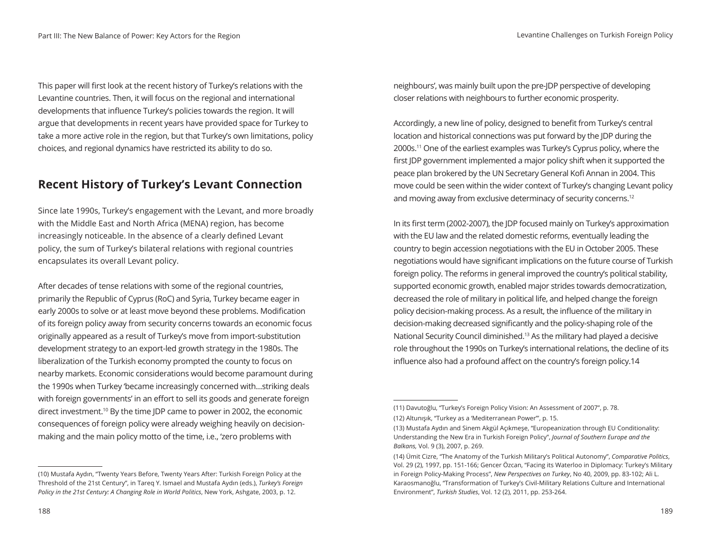This paper will first look at the recent history of Turkey's relations with the Levantine countries. Then, it will focus on the regional and international developments that influence Turkey's policies towards the region. It will argue that developments in recent years have provided space for Turkey to take a more active role in the region, but that Turkey's own limitations, policy choices, and regional dynamics have restricted its ability to do so.

#### **Recent History of Turkey's Levant Connection**

Since late 1990s, Turkey's engagement with the Levant, and more broadly with the Middle East and North Africa (MENA) region, has become increasingly noticeable. In the absence of a clearly defined Levant policy, the sum of Turkey's bilateral relations with regional countries encapsulates its overall Levant policy.

After decades of tense relations with some of the regional countries, primarily the Republic of Cyprus (RoC) and Syria, Turkey became eager in early 2000s to solve or at least move beyond these problems. Modification of its foreign policy away from security concerns towards an economic focus originally appeared as a result of Turkey's move from import-substitution development strategy to an export-led growth strategy in the 1980s. The liberalization of the Turkish economy prompted the county to focus on nearby markets. Economic considerations would become paramount during the 1990s when Turkey 'became increasingly concerned with…striking deals with foreign governments' in an effort to sell its goods and generate foreign direct investment.10 By the time JDP came to power in 2002, the economic consequences of foreign policy were already weighing heavily on decisionmaking and the main policy motto of the time, i.e., 'zero problems with

(10) Mustafa Aydın, "Twenty Years Before, Twenty Years After: Turkish Foreign Policy at the Threshold of the 21st Century", in Tareq Y. Ismael and Mustafa Aydın (eds.), *Turkey's Foreign Policy in the 21st Century: A Changing Role in World Politics*, New York, Ashgate, 2003, p. 12.

neighbours', was mainly built upon the pre-JDP perspective of developing closer relations with neighbours to further economic prosperity.

Accordingly, a new line of policy, designed to benefit from Turkey's central location and historical connections was put forward by the JDP during the 2000s.11 One of the earliest examples was Turkey's Cyprus policy, where the first JDP government implemented a major policy shift when it supported the peace plan brokered by the UN Secretary General Kofi Annan in 2004. This move could be seen within the wider context of Turkey's changing Levant policy and moving away from exclusive determinacy of security concerns.<sup>12</sup>

In its first term (2002-2007), the JDP focused mainly on Turkey's approximation with the EU law and the related domestic reforms, eventually leading the country to begin accession negotiations with the EU in October 2005. These negotiations would have significant implications on the future course of Turkish foreign policy. The reforms in general improved the country's political stability, supported economic growth, enabled major strides towards democratization, decreased the role of military in political life, and helped change the foreign policy decision-making process. As a result, the influence of the military in decision-making decreased significantly and the policy-shaping role of the National Security Council diminished.13 As the military had played a decisive role throughout the 1990s on Turkey's international relations, the decline of its influence also had a profound affect on the country's foreign policy.14

<sup>(11)</sup> Davutoğlu, "Turkey's Foreign Policy Vision: An Assessment of 2007", p. 78. (12) Altunışık, "Turkey as a 'Mediterranean Power'", p. 15.

<sup>(13)</sup> Mustafa Aydın and Sinem Akgül Açıkmeşe, "Europeanization through EU Conditionality: Understanding the New Era in Turkish Foreign Policy", *Journal of Southern Europe and the Balkans,* Vol. 9 (3), 2007, p. 269.

<sup>(14)</sup> Ümit Cizre, "The Anatomy of the Turkish Military's Political Autonomy", *Comparative Politics*, Vol. 29 (2), 1997, pp. 151-166; Gencer Özcan, "Facing its Waterloo in Diplomacy: Turkey's Military in Foreign Policy-Making Process", *New Perspectives on Turkey*, No 40, 2009, pp. 83-102; Ali L. Karaosmanoğlu, "Transformation of Turkey's Civil-Military Relations Culture and International Environment", *Turkish Studies*, Vol. 12 (2), 2011, pp. 253-264.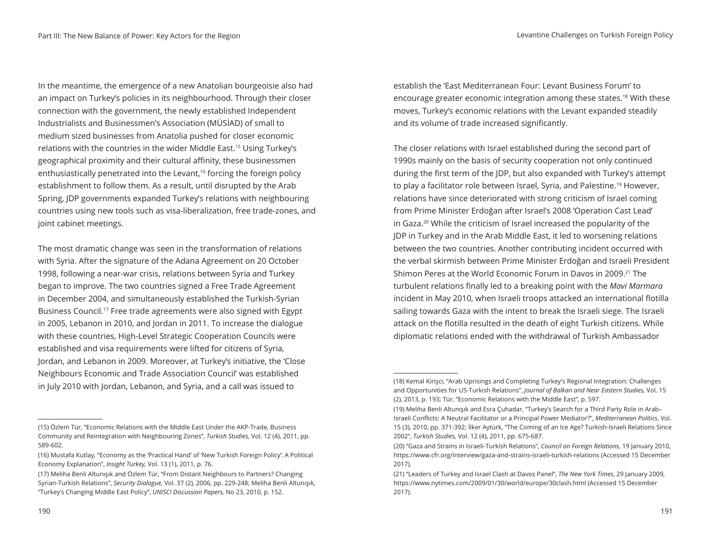In the meantime, the emergence of a new Anatolian bourgeoisie also had an impact on Turkey's policies in its neighbourhood. Through their closer connection with the government, the newly established Independent Industrialists and Businessmen's Association (MÜSİAD) of small to medium sized businesses from Anatolia pushed for closer economic relations with the countries in the wider Middle East.15 Using Turkey's geographical proximity and their cultural affinity, these businessmen enthusiastically penetrated into the Levant,<sup>16</sup> forcing the foreign policy establishment to follow them. As a result, until disrupted by the Arab Spring, JDP governments expanded Turkey's relations with neighbouring countries using new tools such as visa-liberalization, free trade-zones, and joint cabinet meetings.

The most dramatic change was seen in the transformation of relations with Syria. After the signature of the Adana Agreement on 20 October 1998, following a near-war crisis, relations between Syria and Turkey began to improve. The two countries signed a Free Trade Agreement in December 2004, and simultaneously established the Turkish-Syrian Business Council.17 Free trade agreements were also signed with Egypt in 2005, Lebanon in 2010, and Jordan in 2011. To increase the dialogue with these countries, High-Level Strategic Cooperation Councils were established and visa requirements were lifted for citizens of Syria, Jordan, and Lebanon in 2009. Moreover, at Turkey's initiative, the 'Close Neighbours Economic and Trade Association Council' was established in July 2010 with Jordan, Lebanon, and Syria, and a call was issued to

establish the 'East Mediterranean Four: Levant Business Forum' to encourage greater economic integration among these states.18 With these moves, Turkey's economic relations with the Levant expanded steadily and its volume of trade increased significantly.

The closer relations with Israel established during the second part of 1990s mainly on the basis of security cooperation not only continued during the first term of the JDP, but also expanded with Turkey's attempt to play a facilitator role between Israel, Syria, and Palestine.<sup>19</sup> However, relations have since deteriorated with strong criticism of Israel coming from Prime Minister Erdoğan after Israel's 2008 'Operation Cast Lead' in Gaza.20 While the criticism of Israel increased the popularity of the JDP in Turkey and in the Arab Middle East, it led to worsening relations between the two countries. Another contributing incident occurred with the verbal skirmish between Prime Minister Erdoğan and Israeli President Shimon Peres at the World Economic Forum in Davos in 2009.21 The turbulent relations finally led to a breaking point with the *Mavi Marmara*  incident in May 2010, when Israeli troops attacked an international flotilla sailing towards Gaza with the intent to break the Israeli siege. The Israeli attack on the flotilla resulted in the death of eight Turkish citizens. While diplomatic relations ended with the withdrawal of Turkish Ambassador

<sup>(15)</sup> Özlem Tür, "Economic Relations with the Middle East Under the AKP-Trade, Business Community and Reintegration with Neighbouring Zones", *Turkish Studies,* Vol. 12 (4), 2011, pp. 589-602.

<sup>(16)</sup> Mustafa Kutlay, "Economy as the 'Practical Hand' of 'New Turkish Foreign Policy': A Political Economy Explanation", *Insight Turkey,* Vol. 13 (1), 2011, p. 76.

<sup>(17)</sup> Meliha Benli Altunışık and Özlem Tür, "From Distant Neighbours to Partners? Changing Syrian-Turkish Relations", *Security Dialogue,* Vol. 37 (2), 2006, pp. 229-248; Meliha Benli Altunışık, "Turkey's Changing Middle East Policy", *UNISCI Discussion Papers,* No 23, 2010, p. 152.

<sup>(18)</sup> Kemal Kirişci, "Arab Uprisings and Completing Turkey's Regional Integration: Challenges and Opportunities for US-Turkish Relations", *Journal of Balkan and Near Eastern Studies,* Vol. 15 (2), 2013, p. 193; Tür, "Economic Relations with the Middle East", p. 597.

<sup>(19)</sup> Meliha Benli Altunışık and Esra Çuhadar, "Turkey's Search for a Third Party Role in Arab– Israeli Conflicts: A Neutral Facilitator or a Principal Power Mediator?", *Mediterranean Politics*, Vol. 15 (3), 2010, pp. 371-392; İlker Aytürk, "The Coming of an Ice Age? Turkish-Israeli Relations Since 2002", *Turkish Studies,* Vol. 12 (4), 2011, pp. 675-687.

<sup>(20) &</sup>quot;Gaza and Strains in Israeli-Turkish Relations", *Council on Foreign Relations*, 19 January 2010, https://www.cfr.org/interview/gaza-and-strains-israeli-turkish-relations (Accessed 15 December 2017).

<sup>(21) &</sup>quot;Leaders of Turkey and Israel Clash at Davos Panel", *The New York Times*, 29 January 2009, https://www.nytimes.com/2009/01/30/world/europe/30clash.html (Accessed 15 December 2017).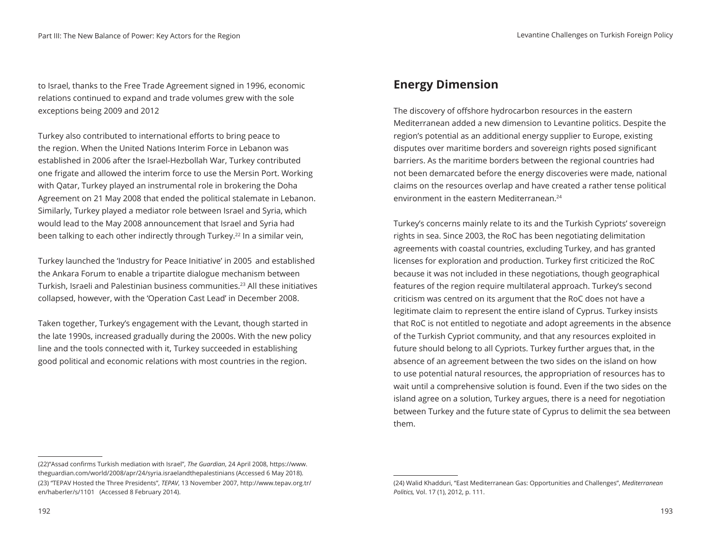to Israel, thanks to the Free Trade Agreement signed in 1996, economic relations continued to expand and trade volumes grew with the sole exceptions being 2009 and 2012

Turkey also contributed to international efforts to bring peace to the region. When the United Nations Interim Force in Lebanon was established in 2006 after the Israel-Hezbollah War, Turkey contributed one frigate and allowed the interim force to use the Mersin Port. Working with Qatar, Turkey played an instrumental role in brokering the Doha Agreement on 21 May 2008 that ended the political stalemate in Lebanon. Similarly, Turkey played a mediator role between Israel and Syria, which would lead to the May 2008 announcement that Israel and Syria had been talking to each other indirectly through Turkey.<sup>22</sup> In a similar vein,

Turkey launched the 'Industry for Peace Initiative' in 2005 and established the Ankara Forum to enable a tripartite dialogue mechanism between Turkish, Israeli and Palestinian business communities.23 All these initiatives collapsed, however, with the 'Operation Cast Lead' in December 2008.

Taken together, Turkey's engagement with the Levant, though started in the late 1990s, increased gradually during the 2000s. With the new policy line and the tools connected with it, Turkey succeeded in establishing good political and economic relations with most countries in the region.

#### **Energy Dimension**

The discovery of offshore hydrocarbon resources in the eastern Mediterranean added a new dimension to Levantine politics. Despite the region's potential as an additional energy supplier to Europe, existing disputes over maritime borders and sovereign rights posed significant barriers. As the maritime borders between the regional countries had not been demarcated before the energy discoveries were made, national claims on the resources overlap and have created a rather tense political environment in the eastern Mediterranean.24

Turkey's concerns mainly relate to its and the Turkish Cypriots' sovereign rights in sea. Since 2003, the RoC has been negotiating delimitation agreements with coastal countries, excluding Turkey, and has granted licenses for exploration and production. Turkey first criticized the RoC because it was not included in these negotiations, though geographical features of the region require multilateral approach. Turkey's second criticism was centred on its argument that the RoC does not have a legitimate claim to represent the entire island of Cyprus. Turkey insists that RoC is not entitled to negotiate and adopt agreements in the absence of the Turkish Cypriot community, and that any resources exploited in future should belong to all Cypriots. Turkey further argues that, in the absence of an agreement between the two sides on the island on how to use potential natural resources, the appropriation of resources has to wait until a comprehensive solution is found. Even if the two sides on the island agree on a solution, Turkey argues, there is a need for negotiation between Turkey and the future state of Cyprus to delimit the sea between them.

<sup>(22)&</sup>quot;Assad confirms Turkish mediation with Israel", *The Guardian*, 24 April 2008, https://www. theguardian.com/world/2008/apr/24/syria.israelandthepalestinians (Accessed 6 May 2018). (23) "TEPAV Hosted the Three Presidents", *TEPAV*, 13 November 2007, http://www.tepav.org.tr/ en/haberler/s/1101 (Accessed 8 February 2014).

<sup>(24)</sup> Walid Khadduri, "East Mediterranean Gas: Opportunities and Challenges", *Mediterranean Politics,* Vol. 17 (1), 2012, p. 111.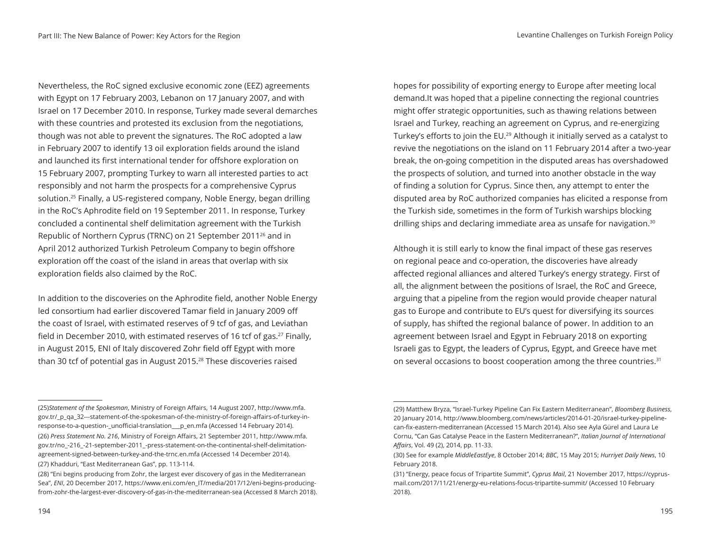Nevertheless, the RoC signed exclusive economic zone (EEZ) agreements with Egypt on 17 February 2003, Lebanon on 17 January 2007, and with Israel on 17 December 2010. In response, Turkey made several demarches with these countries and protested its exclusion from the negotiations, though was not able to prevent the signatures. The RoC adopted a law in February 2007 to identify 13 oil exploration fields around the island and launched its first international tender for offshore exploration on 15 February 2007, prompting Turkey to warn all interested parties to act responsibly and not harm the prospects for a comprehensive Cyprus solution.25 Finally, a US-registered company, Noble Energy, began drilling in the RoC's Aphrodite field on 19 September 2011. In response, Turkey concluded a continental shelf delimitation agreement with the Turkish Republic of Northern Cyprus (TRNC) on 21 September 201126 and in April 2012 authorized Turkish Petroleum Company to begin offshore exploration off the coast of the island in areas that overlap with six exploration fields also claimed by the RoC.

In addition to the discoveries on the Aphrodite field, another Noble Energy led consortium had earlier discovered Tamar field in January 2009 off the coast of Israel, with estimated reserves of 9 tcf of gas, and Leviathan field in December 2010, with estimated reserves of 16 tcf of gas.<sup>27</sup> Finally, in August 2015, ENI of Italy discovered Zohr field off Egypt with more than 30 tcf of potential gas in August 2015.28 These discoveries raised

hopes for possibility of exporting energy to Europe after meeting local demand.It was hoped that a pipeline connecting the regional countries might offer strategic opportunities, such as thawing relations between Israel and Turkey, reaching an agreement on Cyprus, and re-energizing Turkey's efforts to join the EU.<sup>29</sup> Although it initially served as a catalyst to revive the negotiations on the island on 11 February 2014 after a two-year break, the on-going competition in the disputed areas has overshadowed the prospects of solution, and turned into another obstacle in the way of finding a solution for Cyprus. Since then, any attempt to enter the disputed area by RoC authorized companies has elicited a response from the Turkish side, sometimes in the form of Turkish warships blocking drilling ships and declaring immediate area as unsafe for navigation.<sup>30</sup>

Although it is still early to know the final impact of these gas reserves on regional peace and co-operation, the discoveries have already affected regional alliances and altered Turkey's energy strategy. First of all, the alignment between the positions of Israel, the RoC and Greece, arguing that a pipeline from the region would provide cheaper natural gas to Europe and contribute to EU's quest for diversifying its sources of supply, has shifted the regional balance of power. In addition to an agreement between Israel and Egypt in February 2018 on exporting Israeli gas to Egypt, the leaders of Cyprus, Egypt, and Greece have met on several occasions to boost cooperation among the three countries.<sup>31</sup>

<sup>(25)</sup>*Statement of the Spokesman*, Ministry of Foreign Affairs, 14 August 2007, http://www.mfa. gov.tr/\_p\_qa\_32---statement-of-the-spokesman-of-the-ministry-of-foreign-affairs-of-turkey-inresponse-to-a-question-\_unofficial-translation\_\_\_p\_en.mfa (Accessed 14 February 2014). (26) *Press Statement No. 216*, Ministry of Foreign Affairs, 21 September 2011, http://www.mfa. gov.tr/no\_-216\_-21-september-2011\_-press-statement-on-the-continental-shelf-delimitationagreement-signed-between-turkey-and-the-trnc.en.mfa (Accessed 14 December 2014).

<sup>(27)</sup> Khadduri, "East Mediterranean Gas", pp. 113-114.

<sup>(28) &</sup>quot;Eni begins producing from Zohr, the largest ever discovery of gas in the Mediterranean Sea", *ENI*, 20 December 2017, https://www.eni.com/en\_IT/media/2017/12/eni-begins-producingfrom-zohr-the-largest-ever-discovery-of-gas-in-the-mediterranean-sea (Accessed 8 March 2018).

<sup>(29)</sup> Matthew Bryza, "Israel-Turkey Pipeline Can Fix Eastern Mediterranean", *Bloomberg Business*, 20 January 2014, http://www.bloomberg.com/news/articles/2014-01-20/israel-turkey-pipelinecan-fix-eastern-mediterranean (Accessed 15 March 2014). Also see Ayla Gürel and Laura Le Cornu, "Can Gas Catalyse Peace in the Eastern Mediterranean?", *Italian Journal of International Affairs*, Vol. 49 (2), 2014, pp. 11-33.

<sup>(30)</sup> See for example *MiddleEastEye*, 8 October 2014; *BBC*, 15 May 2015; *Hurriyet Daily News*, 10 February 2018.

<sup>(31) &</sup>quot;Energy, peace focus of Tripartite Summit", *Cyprus Mail*, 21 November 2017, https://cyprusmail.com/2017/11/21/energy-eu-relations-focus-tripartite-summit/ (Accessed 10 February 2018).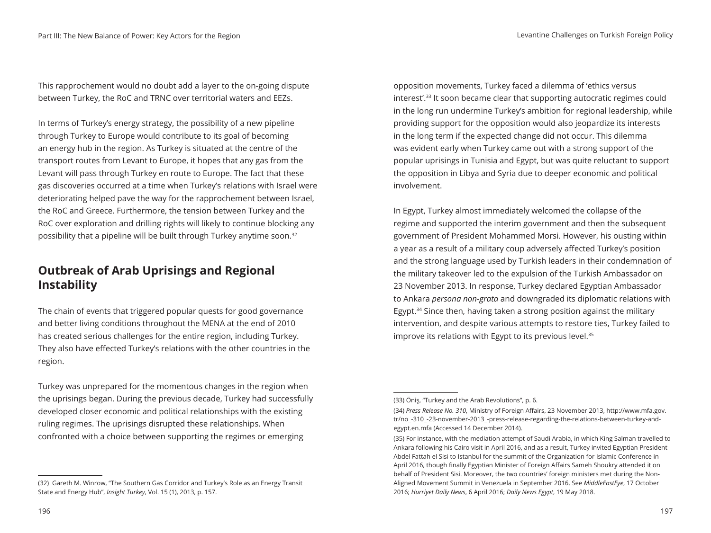This rapprochement would no doubt add a layer to the on-going dispute between Turkey, the RoC and TRNC over territorial waters and EEZs.

In terms of Turkey's energy strategy, the possibility of a new pipeline through Turkey to Europe would contribute to its goal of becoming an energy hub in the region. As Turkey is situated at the centre of the transport routes from Levant to Europe, it hopes that any gas from the Levant will pass through Turkey en route to Europe. The fact that these gas discoveries occurred at a time when Turkey's relations with Israel were deteriorating helped pave the way for the rapprochement between Israel, the RoC and Greece. Furthermore, the tension between Turkey and the RoC over exploration and drilling rights will likely to continue blocking any possibility that a pipeline will be built through Turkey anytime soon.32

#### **Outbreak of Arab Uprisings and Regional Instability**

The chain of events that triggered popular quests for good governance and better living conditions throughout the MENA at the end of 2010 has created serious challenges for the entire region, including Turkey. They also have effected Turkey's relations with the other countries in the region.

Turkey was unprepared for the momentous changes in the region when the uprisings began. During the previous decade, Turkey had successfully developed closer economic and political relationships with the existing ruling regimes. The uprisings disrupted these relationships. When confronted with a choice between supporting the regimes or emerging

opposition movements, Turkey faced a dilemma of 'ethics versus interest'.33 It soon became clear that supporting autocratic regimes could in the long run undermine Turkey's ambition for regional leadership, while providing support for the opposition would also jeopardize its interests in the long term if the expected change did not occur. This dilemma was evident early when Turkey came out with a strong support of the popular uprisings in Tunisia and Egypt, but was quite reluctant to support the opposition in Libya and Syria due to deeper economic and political involvement.

In Egypt, Turkey almost immediately welcomed the collapse of the regime and supported the interim government and then the subsequent government of President Mohammed Morsi. However, his ousting within a year as a result of a military coup adversely affected Turkey's position and the strong language used by Turkish leaders in their condemnation of the military takeover led to the expulsion of the Turkish Ambassador on 23 November 2013. In response, Turkey declared Egyptian Ambassador to Ankara *persona non-grata* and downgraded its diplomatic relations with Egypt.34 Since then, having taken a strong position against the military intervention, and despite various attempts to restore ties, Turkey failed to improve its relations with Egypt to its previous level.<sup>35</sup>

<sup>(32)</sup> Gareth M. Winrow, "The Southern Gas Corridor and Turkey's Role as an Energy Transit State and Energy Hub", *Insight Turkey*, Vol. 15 (1), 2013, p. 157.

<sup>(33)</sup> Öniş, "Turkey and the Arab Revolutions", p. 6.

<sup>(34)</sup> *Press Release No. 310*, Ministry of Foreign Affairs, 23 November 2013, http://www.mfa.gov. tr/no\_-310\_-23-november-2013\_-press-release-regarding-the-relations-between-turkey-andegypt.en.mfa (Accessed 14 December 2014).

<sup>(35)</sup> For instance, with the mediation attempt of Saudi Arabia, in which King Salman travelled to Ankara following his Cairo visit in April 2016, and as a result, Turkey invited Egyptian President Abdel Fattah el Sisi to Istanbul for the summit of the Organization for Islamic Conference in April 2016, though finally Egyptian Minister of Foreign Affairs Sameh Shoukry attended it on behalf of President Sisi. Moreover, the two countries' foreign ministers met during the Non-Aligned Movement Summit in Venezuela in September 2016. See *MiddleEastEye*, 17 October 2016; *Hurriyet Daily News*, 6 April 2016; *Daily News Egypt*, 19 May 2018.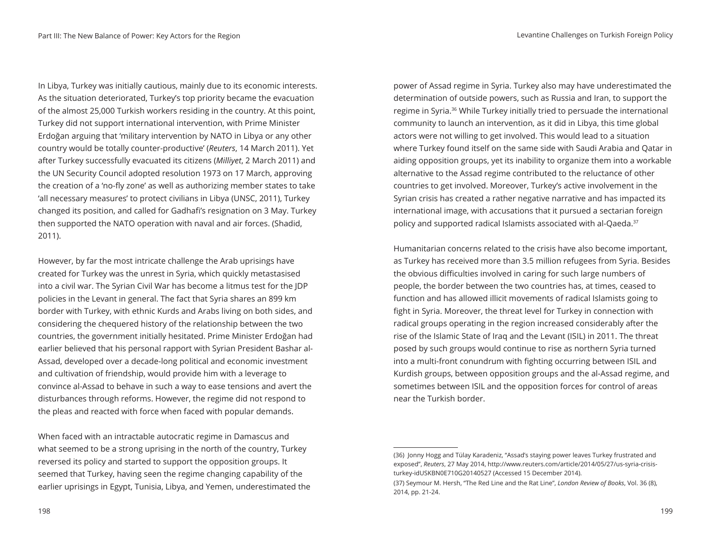In Libya, Turkey was initially cautious, mainly due to its economic interests. As the situation deteriorated, Turkey's top priority became the evacuation of the almost 25,000 Turkish workers residing in the country. At this point, Turkey did not support international intervention, with Prime Minister Erdoğan arguing that 'military intervention by NATO in Libya or any other country would be totally counter-productive' (*Reuters*, 14 March 2011). Yet after Turkey successfully evacuated its citizens (*Milliyet*, 2 March 2011) and the UN Security Council adopted resolution 1973 on 17 March, approving the creation of a 'no-fly zone' as well as authorizing member states to take 'all necessary measures' to protect civilians in Libya (UNSC, 2011), Turkey changed its position, and called for Gadhafi's resignation on 3 May. Turkey then supported the NATO operation with naval and air forces. (Shadid, 2011).

However, by far the most intricate challenge the Arab uprisings have created for Turkey was the unrest in Syria, which quickly metastasised into a civil war. The Syrian Civil War has become a litmus test for the JDP policies in the Levant in general. The fact that Syria shares an 899 km border with Turkey, with ethnic Kurds and Arabs living on both sides, and considering the chequered history of the relationship between the two countries, the government initially hesitated. Prime Minister Erdoğan had earlier believed that his personal rapport with Syrian President Bashar al-Assad, developed over a decade-long political and economic investment and cultivation of friendship, would provide him with a leverage to convince al-Assad to behave in such a way to ease tensions and avert the disturbances through reforms. However, the regime did not respond to the pleas and reacted with force when faced with popular demands.

When faced with an intractable autocratic regime in Damascus and what seemed to be a strong uprising in the north of the country, Turkey reversed its policy and started to support the opposition groups. It seemed that Turkey, having seen the regime changing capability of the earlier uprisings in Egypt, Tunisia, Libya, and Yemen, underestimated the

power of Assad regime in Syria. Turkey also may have underestimated the determination of outside powers, such as Russia and Iran, to support the regime in Syria.36 While Turkey initially tried to persuade the international community to launch an intervention, as it did in Libya, this time global actors were not willing to get involved. This would lead to a situation where Turkey found itself on the same side with Saudi Arabia and Qatar in aiding opposition groups, yet its inability to organize them into a workable alternative to the Assad regime contributed to the reluctance of other countries to get involved. Moreover, Turkey's active involvement in the Syrian crisis has created a rather negative narrative and has impacted its international image, with accusations that it pursued a sectarian foreign policy and supported radical Islamists associated with al-Qaeda.<sup>37</sup>

Humanitarian concerns related to the crisis have also become important, as Turkey has received more than 3.5 million refugees from Syria. Besides the obvious difficulties involved in caring for such large numbers of people, the border between the two countries has, at times, ceased to function and has allowed illicit movements of radical Islamists going to fight in Syria. Moreover, the threat level for Turkey in connection with radical groups operating in the region increased considerably after the rise of the Islamic State of Iraq and the Levant (ISIL) in 2011. The threat posed by such groups would continue to rise as northern Syria turned into a multi-front conundrum with fighting occurring between ISIL and Kurdish groups, between opposition groups and the al-Assad regime, and sometimes between ISIL and the opposition forces for control of areas near the Turkish border.

<sup>(36)</sup> Jonny Hogg and Tülay Karadeniz, "Assad's staying power leaves Turkey frustrated and exposed", *Reuters*, 27 May 2014, http://www.reuters.com/article/2014/05/27/us-syria-crisisturkey-idUSKBN0E710G20140527 (Accessed 15 December 2014).

<sup>(37)</sup> Seymour M. Hersh, "The Red Line and the Rat Line", *London Review of Books*, Vol. 36 (8), 2014, pp. 21-24.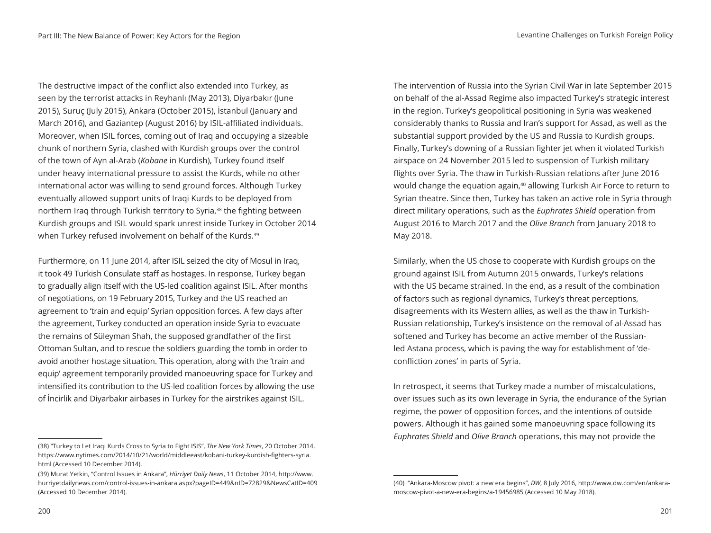The destructive impact of the conflict also extended into Turkey, as seen by the terrorist attacks in Reyhanlı (May 2013), Diyarbakır (June 2015), Suruç (July 2015), Ankara (October 2015), İstanbul (January and March 2016), and Gaziantep (August 2016) by ISIL-affiliated individuals. Moreover, when ISIL forces, coming out of Iraq and occupying a sizeable chunk of northern Syria, clashed with Kurdish groups over the control of the town of Ayn al-Arab (*Kobane* in Kurdish), Turkey found itself under heavy international pressure to assist the Kurds, while no other international actor was willing to send ground forces. Although Turkey eventually allowed support units of Iraqi Kurds to be deployed from northern Iraq through Turkish territory to Syria,<sup>38</sup> the fighting between Kurdish groups and ISIL would spark unrest inside Turkey in October 2014 when Turkey refused involvement on behalf of the Kurds.<sup>39</sup>

Furthermore, on 11 June 2014, after ISIL seized the city of Mosul in Iraq, it took 49 Turkish Consulate staff as hostages. In response, Turkey began to gradually align itself with the US-led coalition against ISIL. After months of negotiations, on 19 February 2015, Turkey and the US reached an agreement to 'train and equip' Syrian opposition forces. A few days after the agreement, Turkey conducted an operation inside Syria to evacuate the remains of Süleyman Shah, the supposed grandfather of the first Ottoman Sultan, and to rescue the soldiers guarding the tomb in order to avoid another hostage situation. This operation, along with the 'train and equip' agreement temporarily provided manoeuvring space for Turkey and intensified its contribution to the US-led coalition forces by allowing the use of İncirlik and Diyarbakır airbases in Turkey for the airstrikes against ISIL.

The intervention of Russia into the Syrian Civil War in late September 2015 on behalf of the al-Assad Regime also impacted Turkey's strategic interest in the region. Turkey's geopolitical positioning in Syria was weakened considerably thanks to Russia and Iran's support for Assad, as well as the substantial support provided by the US and Russia to Kurdish groups. Finally, Turkey's downing of a Russian fighter jet when it violated Turkish airspace on 24 November 2015 led to suspension of Turkish military flights over Syria. The thaw in Turkish-Russian relations after June 2016 would change the equation again,<sup>40</sup> allowing Turkish Air Force to return to Syrian theatre. Since then, Turkey has taken an active role in Syria through direct military operations, such as the *Euphrates Shield* operation from August 2016 to March 2017 and the *Olive Branch* from January 2018 to May 2018.

Similarly, when the US chose to cooperate with Kurdish groups on the ground against ISIL from Autumn 2015 onwards, Turkey's relations with the US became strained. In the end, as a result of the combination of factors such as regional dynamics, Turkey's threat perceptions, disagreements with its Western allies, as well as the thaw in Turkish-Russian relationship, Turkey's insistence on the removal of al-Assad has softened and Turkey has become an active member of the Russianled Astana process, which is paving the way for establishment of 'deconfliction zones' in parts of Syria.

In retrospect, it seems that Turkey made a number of miscalculations, over issues such as its own leverage in Syria, the endurance of the Syrian regime, the power of opposition forces, and the intentions of outside powers. Although it has gained some manoeuvring space following its *Euphrates Shield* and *Olive Branch* operations, this may not provide the

<sup>(38) &</sup>quot;Turkey to Let Iraqi Kurds Cross to Syria to Fight ISIS", *The New York Times*, 20 October 2014, https://www.nytimes.com/2014/10/21/world/middleeast/kobani-turkey-kurdish-fighters-syria. html (Accessed 10 December 2014).

<sup>(39)</sup> Murat Yetkin, "Control Issues in Ankara", *Hürriyet Daily News*, 11 October 2014, http://www. hurriyetdailynews.com/control-issues-in-ankara.aspx?pageID=449&nID=72829&NewsCatID=409 (Accessed 10 December 2014).

<sup>(40) &</sup>quot;Ankara-Moscow pivot: a new era begins", *DW*, 8 July 2016, http://www.dw.com/en/ankaramoscow-pivot-a-new-era-begins/a-19456985 (Accessed 10 May 2018).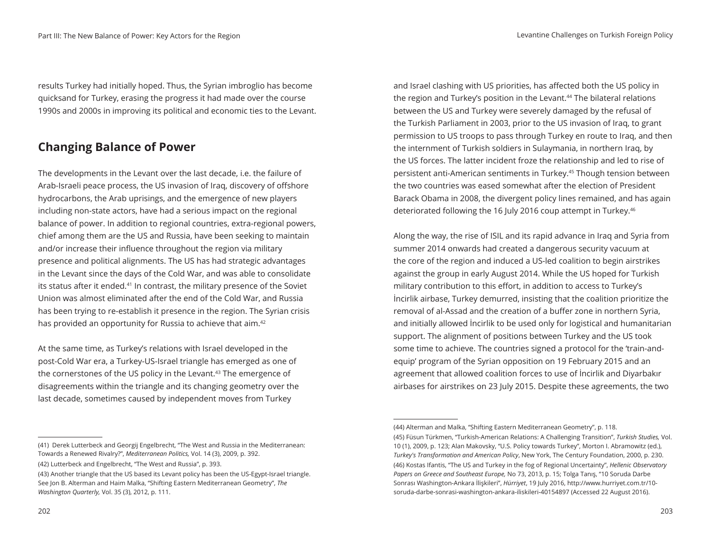results Turkey had initially hoped. Thus, the Syrian imbroglio has become quicksand for Turkey, erasing the progress it had made over the course 1990s and 2000s in improving its political and economic ties to the Levant.

#### **Changing Balance of Power**

The developments in the Levant over the last decade, i.e. the failure of Arab-Israeli peace process, the US invasion of Iraq, discovery of offshore hydrocarbons, the Arab uprisings, and the emergence of new players including non-state actors, have had a serious impact on the regional balance of power. In addition to regional countries, extra-regional powers, chief among them are the US and Russia, have been seeking to maintain and/or increase their influence throughout the region via military presence and political alignments. The US has had strategic advantages in the Levant since the days of the Cold War, and was able to consolidate its status after it ended.<sup>41</sup> In contrast, the military presence of the Soviet Union was almost eliminated after the end of the Cold War, and Russia has been trying to re-establish it presence in the region. The Syrian crisis has provided an opportunity for Russia to achieve that aim.<sup>42</sup>

At the same time, as Turkey's relations with Israel developed in the post-Cold War era, a Turkey-US-Israel triangle has emerged as one of the cornerstones of the US policy in the Levant.<sup>43</sup> The emergence of disagreements within the triangle and its changing geometry over the last decade, sometimes caused by independent moves from Turkey

and Israel clashing with US priorities, has affected both the US policy in the region and Turkey's position in the Levant.<sup>44</sup> The bilateral relations between the US and Turkey were severely damaged by the refusal of the Turkish Parliament in 2003, prior to the US invasion of Iraq, to grant permission to US troops to pass through Turkey en route to Iraq, and then the internment of Turkish soldiers in Sulaymania, in northern Iraq, by the US forces. The latter incident froze the relationship and led to rise of persistent anti-American sentiments in Turkey.45 Though tension between the two countries was eased somewhat after the election of President Barack Obama in 2008, the divergent policy lines remained, and has again deteriorated following the 16 July 2016 coup attempt in Turkey.<sup>46</sup>

Along the way, the rise of ISIL and its rapid advance in Iraq and Syria from summer 2014 onwards had created a dangerous security vacuum at the core of the region and induced a US-led coalition to begin airstrikes against the group in early August 2014. While the US hoped for Turkish military contribution to this effort, in addition to access to Turkey's İncirlik airbase, Turkey demurred, insisting that the coalition prioritize the removal of al-Assad and the creation of a buffer zone in northern Syria, and initially allowed İncirlik to be used only for logistical and humanitarian support. The alignment of positions between Turkey and the US took some time to achieve. The countries signed a protocol for the 'train-andequip' program of the Syrian opposition on 19 February 2015 and an agreement that allowed coalition forces to use of İncirlik and Diyarbakır airbases for airstrikes on 23 July 2015. Despite these agreements, the two

<sup>(41)</sup> Derek Lutterbeck and Georgij Engelbrecht, "The West and Russia in the Mediterranean: Towards a Renewed Rivalry?", *Mediterranean Politics,* Vol. 14 (3), 2009, p. 392. (42) Lutterbeck and Engelbrecht, "The West and Russia", p. 393.

<sup>(43)</sup> Another triangle that the US based its Levant policy has been the US-Egypt-Israel triangle. See Jon B. Alterman and Haim Malka, "Shifting Eastern Mediterranean Geometry", *The Washington Quarterly,* Vol. 35 (3), 2012, p. 111.

<sup>(44)</sup> Alterman and Malka, "Shifting Eastern Mediterranean Geometry", p. 118. (45) Füsun Türkmen, "Turkish-American Relations: A Challenging Transition", *Turkish Studies,* Vol. 10 (1), 2009, p. 123; Alan Makovsky, "U.S. Policy towards Turkey", Morton I. Abramowitz (ed.), *Turkey's Transformation and American Policy*, New York, The Century Foundation, 2000, p. 230. (46) Kostas Ifantis, "The US and Turkey in the fog of Regional Uncertainty", *Hellenic Observatory Papers on Greece and Southeast Europe,* No 73, 2013, p. 15; Tolga Tanış, "10 Soruda Darbe Sonrası Washington-Ankara İlişkileri", *Hürriyet*, 19 July 2016, http://www.hurriyet.com.tr/10 soruda-darbe-sonrasi-washington-ankara-iliskileri-40154897 (Accessed 22 August 2016).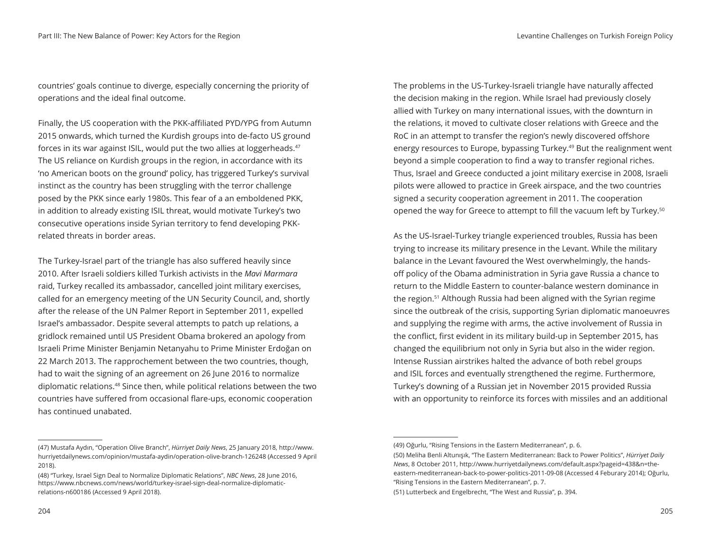countries' goals continue to diverge, especially concerning the priority of operations and the ideal final outcome.

Finally, the US cooperation with the PKK-affiliated PYD/YPG from Autumn 2015 onwards, which turned the Kurdish groups into de-facto US ground forces in its war against ISIL, would put the two allies at loggerheads.47 The US reliance on Kurdish groups in the region, in accordance with its 'no American boots on the ground' policy, has triggered Turkey's survival instinct as the country has been struggling with the terror challenge posed by the PKK since early 1980s. This fear of a an emboldened PKK, in addition to already existing ISIL threat, would motivate Turkey's two consecutive operations inside Syrian territory to fend developing PKKrelated threats in border areas.

The Turkey-Israel part of the triangle has also suffered heavily since 2010. After Israeli soldiers killed Turkish activists in the *Mavi Marmara*  raid, Turkey recalled its ambassador, cancelled joint military exercises, called for an emergency meeting of the UN Security Council, and, shortly after the release of the UN Palmer Report in September 2011, expelled Israel's ambassador. Despite several attempts to patch up relations, a gridlock remained until US President Obama brokered an apology from Israeli Prime Minister Benjamin Netanyahu to Prime Minister Erdoğan on 22 March 2013. The rapprochement between the two countries, though, had to wait the signing of an agreement on 26 June 2016 to normalize diplomatic relations.48 Since then, while political relations between the two countries have suffered from occasional flare-ups, economic cooperation has continued unabated.

204 205

The problems in the US-Turkey-Israeli triangle have naturally affected the decision making in the region. While Israel had previously closely allied with Turkey on many international issues, with the downturn in the relations, it moved to cultivate closer relations with Greece and the RoC in an attempt to transfer the region's newly discovered offshore energy resources to Europe, bypassing Turkey.49 But the realignment went beyond a simple cooperation to find a way to transfer regional riches. Thus, Israel and Greece conducted a joint military exercise in 2008, Israeli pilots were allowed to practice in Greek airspace, and the two countries signed a security cooperation agreement in 2011. The cooperation opened the way for Greece to attempt to fill the vacuum left by Turkey.<sup>50</sup>

As the US-Israel-Turkey triangle experienced troubles, Russia has been trying to increase its military presence in the Levant. While the military balance in the Levant favoured the West overwhelmingly, the handsoff policy of the Obama administration in Syria gave Russia a chance to return to the Middle Eastern to counter-balance western dominance in the region.51 Although Russia had been aligned with the Syrian regime since the outbreak of the crisis, supporting Syrian diplomatic manoeuvres and supplying the regime with arms, the active involvement of Russia in the conflict, first evident in its military build-up in September 2015, has changed the equilibrium not only in Syria but also in the wider region. Intense Russian airstrikes halted the advance of both rebel groups and ISIL forces and eventually strengthened the regime. Furthermore, Turkey's downing of a Russian jet in November 2015 provided Russia with an opportunity to reinforce its forces with missiles and an additional

<sup>(47)</sup> Mustafa Aydın, "Operation Olive Branch", *Hürriyet Daily News*, 25 January 2018, http://www. hurriyetdailynews.com/opinion/mustafa-aydin/operation-olive-branch-126248 (Accessed 9 April 2018).

<sup>(48) &</sup>quot;Turkey, Israel Sign Deal to Normalize Diplomatic Relations", *NBC News*, 28 June 2016, https://www.nbcnews.com/news/world/turkey-israel-sign-deal-normalize-diplomaticrelations-n600186 (Accessed 9 April 2018).

<sup>(49)</sup> Oğurlu, "Rising Tensions in the Eastern Mediterranean", p. 6.

<sup>(50)</sup> Meliha Benli Altunışık, "The Eastern Mediterranean: Back to Power Politics", *Hürriyet Daily News*, 8 October 2011, http://www.hurriyetdailynews.com/default.aspx?pageid=438&n=theeastern-mediterranean-back-to-power-politics-2011-09-08 (Accessed 4 Feburary 2014); Oğurlu, "Rising Tensions in the Eastern Mediterranean", p. 7.

<sup>(51)</sup> Lutterbeck and Engelbrecht, "The West and Russia", p. 394.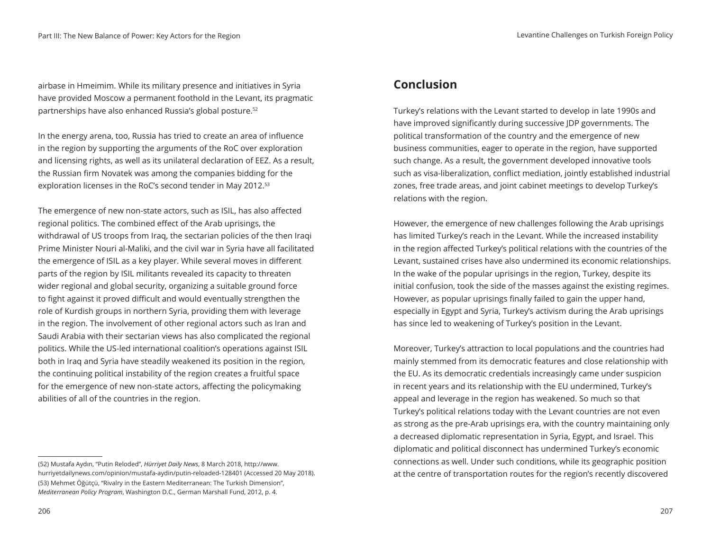airbase in Hmeimim. While its military presence and initiatives in Syria have provided Moscow a permanent foothold in the Levant, its pragmatic partnerships have also enhanced Russia's global posture.52

In the energy arena, too, Russia has tried to create an area of influence in the region by supporting the arguments of the RoC over exploration and licensing rights, as well as its unilateral declaration of EEZ. As a result, the Russian firm Novatek was among the companies bidding for the exploration licenses in the RoC's second tender in May 2012.<sup>53</sup>

The emergence of new non-state actors, such as ISIL, has also affected regional politics. The combined effect of the Arab uprisings, the withdrawal of US troops from Iraq, the sectarian policies of the then Iraqi Prime Minister Nouri al-Maliki, and the civil war in Syria have all facilitated the emergence of ISIL as a key player. While several moves in different parts of the region by ISIL militants revealed its capacity to threaten wider regional and global security, organizing a suitable ground force to fight against it proved difficult and would eventually strengthen the role of Kurdish groups in northern Syria, providing them with leverage in the region. The involvement of other regional actors such as Iran and Saudi Arabia with their sectarian views has also complicated the regional politics. While the US-led international coalition's operations against ISIL both in Iraq and Syria have steadily weakened its position in the region, the continuing political instability of the region creates a fruitful space for the emergence of new non-state actors, affecting the policymaking abilities of all of the countries in the region.

#### **Conclusion**

Turkey's relations with the Levant started to develop in late 1990s and have improved significantly during successive JDP governments. The political transformation of the country and the emergence of new business communities, eager to operate in the region, have supported such change. As a result, the government developed innovative tools such as visa-liberalization, conflict mediation, jointly established industrial zones, free trade areas, and joint cabinet meetings to develop Turkey's relations with the region.

However, the emergence of new challenges following the Arab uprisings has limited Turkey's reach in the Levant. While the increased instability in the region affected Turkey's political relations with the countries of the Levant, sustained crises have also undermined its economic relationships. In the wake of the popular uprisings in the region, Turkey, despite its initial confusion, took the side of the masses against the existing regimes. However, as popular uprisings finally failed to gain the upper hand, especially in Egypt and Syria, Turkey's activism during the Arab uprisings has since led to weakening of Turkey's position in the Levant.

Moreover, Turkey's attraction to local populations and the countries had mainly stemmed from its democratic features and close relationship with the EU. As its democratic credentials increasingly came under suspicion in recent years and its relationship with the EU undermined, Turkey's appeal and leverage in the region has weakened. So much so that Turkey's political relations today with the Levant countries are not even as strong as the pre-Arab uprisings era, with the country maintaining only a decreased diplomatic representation in Syria, Egypt, and Israel. This diplomatic and political disconnect has undermined Turkey's economic connections as well. Under such conditions, while its geographic position at the centre of transportation routes for the region's recently discovered

<sup>(52)</sup> Mustafa Aydın, "Putin Reloded", *Hürriyet Daily News*, 8 March 2018, http://www. hurriyetdailynews.com/opinion/mustafa-aydin/putin-reloaded-128401 (Accessed 20 May 2018). (53) Mehmet Öğütçü, "Rivalry in the Eastern Mediterranean: The Turkish Dimension", *Mediterranean Policy Program*, Washington D.C., German Marshall Fund, 2012, p. 4.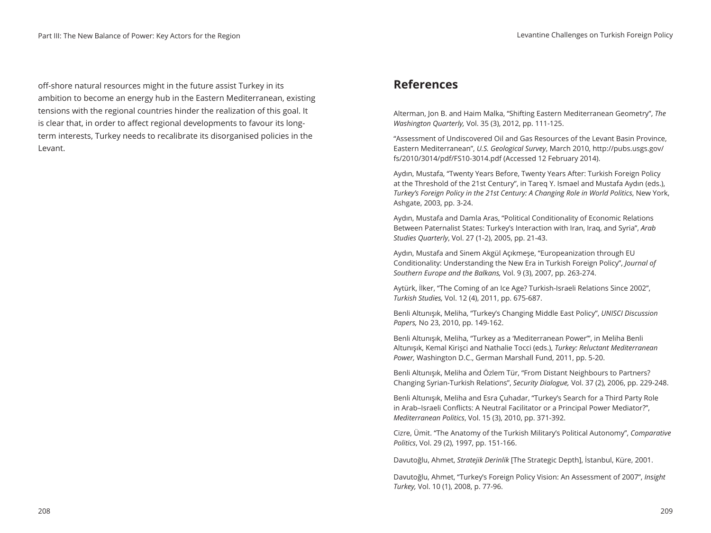off-shore natural resources might in the future assist Turkey in its ambition to become an energy hub in the Eastern Mediterranean, existing tensions with the regional countries hinder the realization of this goal. It is clear that, in order to affect regional developments to favour its longterm interests, Turkey needs to recalibrate its disorganised policies in the Levant.

#### **References**

Alterman, Jon B. and Haim Malka, "Shifting Eastern Mediterranean Geometry", *The Washington Quarterly,* Vol. 35 (3), 2012, pp. 111-125.

"Assessment of Undiscovered Oil and Gas Resources of the Levant Basin Province, Eastern Mediterranean", *U.S. Geological Survey*, March 2010, http://pubs.usgs.gov/ fs/2010/3014/pdf/FS10-3014.pdf (Accessed 12 February 2014).

Aydın, Mustafa, "Twenty Years Before, Twenty Years After: Turkish Foreign Policy at the Threshold of the 21st Century", in Tareq Y. Ismael and Mustafa Aydın (eds.), *Turkey's Foreign Policy in the 21st Century: A Changing Role in World Politics*, New York, Ashgate, 2003, pp. 3-24.

Aydın, Mustafa and Damla Aras, "Political Conditionality of Economic Relations Between Paternalist States: Turkey's Interaction with Iran, Iraq, and Syria", *Arab Studies Quarterly*, Vol. 27 (1-2), 2005, pp. 21-43.

Aydın, Mustafa and Sinem Akgül Açıkmeşe, "Europeanization through EU Conditionality: Understanding the New Era in Turkish Foreign Policy", *Journal of Southern Europe and the Balkans,* Vol. 9 (3), 2007, pp. 263-274.

Aytürk, İlker, "The Coming of an Ice Age? Turkish-Israeli Relations Since 2002", *Turkish Studies,* Vol. 12 (4), 2011, pp. 675-687.

Benli Altunışık, Meliha, "Turkey's Changing Middle East Policy", *UNISCI Discussion Papers,* No 23, 2010, pp. 149-162.

Benli Altunışık, Meliha, "Turkey as a 'Mediterranean Power'", in Meliha Benli Altunışık, Kemal Kirişci and Nathalie Tocci (eds.), *Turkey: Reluctant Mediterranean Power,* Washington D.C., German Marshall Fund, 2011, pp. 5-20.

Benli Altunışık, Meliha and Özlem Tür, "From Distant Neighbours to Partners? Changing Syrian-Turkish Relations", *Security Dialogue,* Vol. 37 (2), 2006, pp. 229-248.

Benli Altunışık, Meliha and Esra Çuhadar, "Turkey's Search for a Third Party Role in Arab–Israeli Conflicts: A Neutral Facilitator or a Principal Power Mediator?", *Mediterranean Politics*, Vol. 15 (3), 2010, pp. 371-392.

Cizre, Ümit. "The Anatomy of the Turkish Military's Political Autonomy", *Comparative Politics*, Vol. 29 (2), 1997, pp. 151-166.

Davutoğlu, Ahmet, *Stratejik Derinlik* [The Strategic Depth], İstanbul, Küre, 2001.

Davutoğlu, Ahmet, "Turkey's Foreign Policy Vision: An Assessment of 2007", *Insight Turkey,* Vol. 10 (1), 2008, p. 77-96.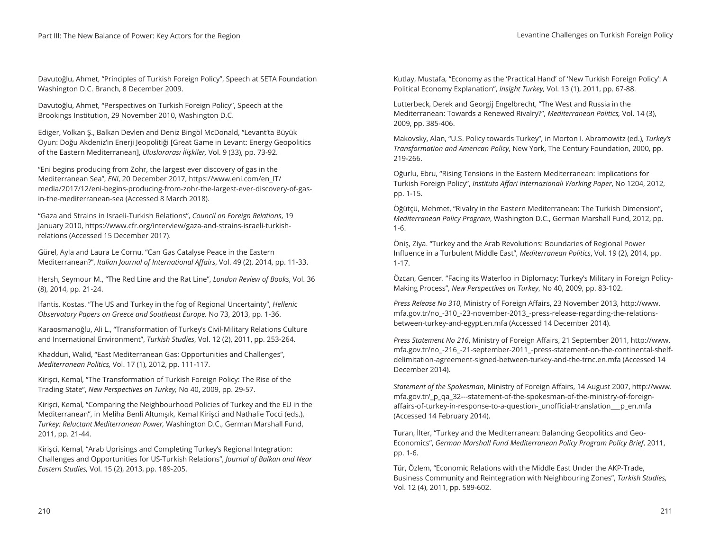Davutoğlu, Ahmet, "Principles of Turkish Foreign Policy", Speech at SETA Foundation Washington D.C. Branch, 8 December 2009.

Davutoğlu, Ahmet, "Perspectives on Turkish Foreign Policy", Speech at the Brookings Institution, 29 November 2010, Washington D.C.

Ediger, Volkan Ş., Balkan Devlen and Deniz Bingöl McDonald, "Levant'ta Büyük Oyun: Doğu Akdeniz'in Enerji Jeopolitiği [Great Game in Levant: Energy Geopolitics of the Eastern Mediterranean], *Uluslararası İlişkiler,* Vol. 9 (33), pp. 73-92.

"Eni begins producing from Zohr, the largest ever discovery of gas in the Mediterranean Sea", *ENI*, 20 December 2017, https://www.eni.com/en\_IT/ media/2017/12/eni-begins-producing-from-zohr-the-largest-ever-discovery-of-gasin-the-mediterranean-sea (Accessed 8 March 2018).

"Gaza and Strains in Israeli-Turkish Relations", *Council on Foreign Relations*, 19 January 2010, https://www.cfr.org/interview/gaza-and-strains-israeli-turkishrelations (Accessed 15 December 2017).

Gürel, Ayla and Laura Le Cornu, "Can Gas Catalyse Peace in the Eastern Mediterranean?", *Italian Journal of International Affairs*, Vol. 49 (2), 2014, pp. 11-33.

Hersh, Seymour M., "The Red Line and the Rat Line", *London Review of Books*, Vol. 36 (8), 2014, pp. 21-24.

Ifantis, Kostas. "The US and Turkey in the fog of Regional Uncertainty", *Hellenic Observatory Papers on Greece and Southeast Europe,* No 73, 2013, pp. 1-36.

Karaosmanoğlu, Ali L., "Transformation of Turkey's Civil-Military Relations Culture and International Environment", *Turkish Studies*, Vol. 12 (2), 2011, pp. 253-264.

Khadduri, Walid, "East Mediterranean Gas: Opportunities and Challenges", *Mediterranean Politics,* Vol. 17 (1), 2012, pp. 111-117.

Kirişci, Kemal, "The Transformation of Turkish Foreign Policy: The Rise of the Trading State", *New Perspectives on Turkey,* No 40, 2009, pp. 29-57.

Kirişci, Kemal, "Comparing the Neighbourhood Policies of Turkey and the EU in the Mediterranean", in Meliha Benli Altunışık, Kemal Kirişci and Nathalie Tocci (eds.), *Turkey: Reluctant Mediterranean Power,* Washington D.C., German Marshall Fund, 2011, pp. 21-44.

Kirişci, Kemal, "Arab Uprisings and Completing Turkey's Regional Integration: Challenges and Opportunities for US-Turkish Relations", *Journal of Balkan and Near Eastern Studies,* Vol. 15 (2), 2013, pp. 189-205.

Kutlay, Mustafa, "Economy as the 'Practical Hand' of 'New Turkish Foreign Policy': A Political Economy Explanation", *Insight Turkey,* Vol. 13 (1), 2011, pp. 67-88.

Lutterbeck, Derek and Georgij Engelbrecht, "The West and Russia in the Mediterranean: Towards a Renewed Rivalry?", *Mediterranean Politics,* Vol. 14 (3), 2009, pp. 385-406.

Makovsky, Alan, "U.S. Policy towards Turkey", in Morton I. Abramowitz (ed.), *Turkey's Transformation and American Policy*, New York, The Century Foundation, 2000, pp. 219-266.

Oğurlu, Ebru, "Rising Tensions in the Eastern Mediterranean: Implications for Turkish Foreign Policy", *Instituto Affari Internazionali Working Paper*, No 1204, 2012, pp. 1-15.

Öğütçü, Mehmet, "Rivalry in the Eastern Mediterranean: The Turkish Dimension", *Mediterranean Policy Program*, Washington D.C., German Marshall Fund, 2012, pp. 1-6.

Öniş, Ziya. "Turkey and the Arab Revolutions: Boundaries of Regional Power Influence in a Turbulent Middle East", *Mediterranean Politics*, Vol. 19 (2), 2014, pp. 1-17.

Özcan, Gencer. "Facing its Waterloo in Diplomacy: Turkey's Military in Foreign Policy-Making Process", *New Perspectives on Turkey*, No 40, 2009, pp. 83-102.

*Press Release No 310*, Ministry of Foreign Affairs, 23 November 2013, http://www. mfa.gov.tr/no\_-310\_-23-november-2013\_-press-release-regarding-the-relationsbetween-turkey-and-egypt.en.mfa (Accessed 14 December 2014).

*Press Statement No 216*, Ministry of Foreign Affairs, 21 September 2011, http://www. mfa.gov.tr/no\_-216\_-21-september-2011\_-press-statement-on-the-continental-shelfdelimitation-agreement-signed-between-turkey-and-the-trnc.en.mfa (Accessed 14 December 2014).

*Statement of the Spokesman*, Ministry of Foreign Affairs, 14 August 2007, http://www. mfa.gov.tr/\_p\_qa\_32---statement-of-the-spokesman-of-the-ministry-of-foreignaffairs-of-turkey-in-response-to-a-question-\_unofficial-translation\_\_\_p\_en.mfa (Accessed 14 February 2014).

Turan, İlter, "Turkey and the Mediterranean: Balancing Geopolitics and Geo-Economics", *German Marshall Fund Mediterranean Policy Program Policy Brief*, 2011, pp. 1-6.

Tür, Özlem, "Economic Relations with the Middle East Under the AKP-Trade, Business Community and Reintegration with Neighbouring Zones", *Turkish Studies,*  Vol. 12 (4), 2011, pp. 589-602.